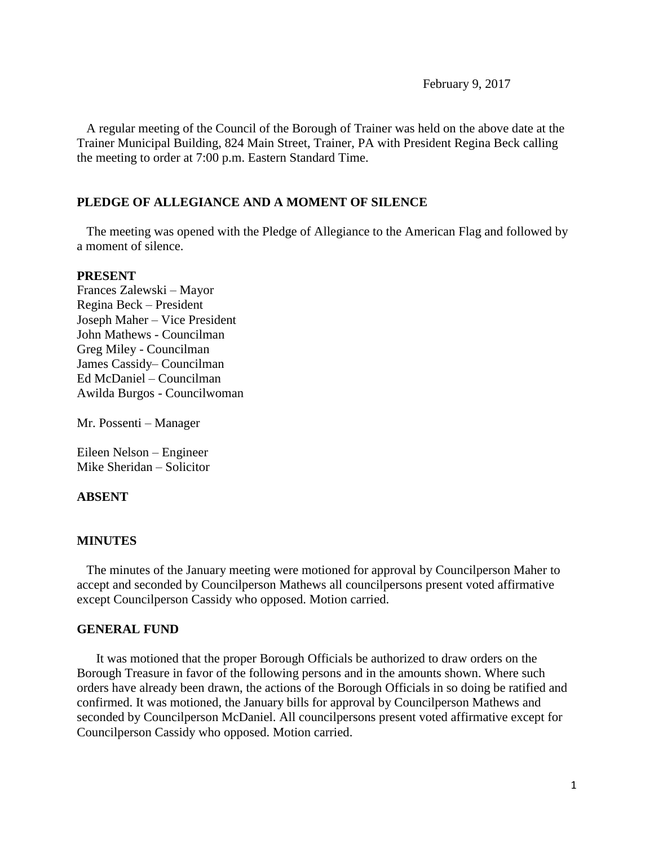A regular meeting of the Council of the Borough of Trainer was held on the above date at the Trainer Municipal Building, 824 Main Street, Trainer, PA with President Regina Beck calling the meeting to order at 7:00 p.m. Eastern Standard Time.

## **PLEDGE OF ALLEGIANCE AND A MOMENT OF SILENCE**

 The meeting was opened with the Pledge of Allegiance to the American Flag and followed by a moment of silence.

#### **PRESENT**

Frances Zalewski – Mayor Regina Beck – President Joseph Maher – Vice President John Mathews - Councilman Greg Miley - Councilman James Cassidy– Councilman Ed McDaniel – Councilman Awilda Burgos - Councilwoman

Mr. Possenti – Manager

Eileen Nelson – Engineer Mike Sheridan – Solicitor

### **ABSENT**

### **MINUTES**

The minutes of the January meeting were motioned for approval by Councilperson Maher to accept and seconded by Councilperson Mathews all councilpersons present voted affirmative except Councilperson Cassidy who opposed. Motion carried.

### **GENERAL FUND**

 It was motioned that the proper Borough Officials be authorized to draw orders on the Borough Treasure in favor of the following persons and in the amounts shown. Where such orders have already been drawn, the actions of the Borough Officials in so doing be ratified and confirmed. It was motioned, the January bills for approval by Councilperson Mathews and seconded by Councilperson McDaniel. All councilpersons present voted affirmative except for Councilperson Cassidy who opposed. Motion carried.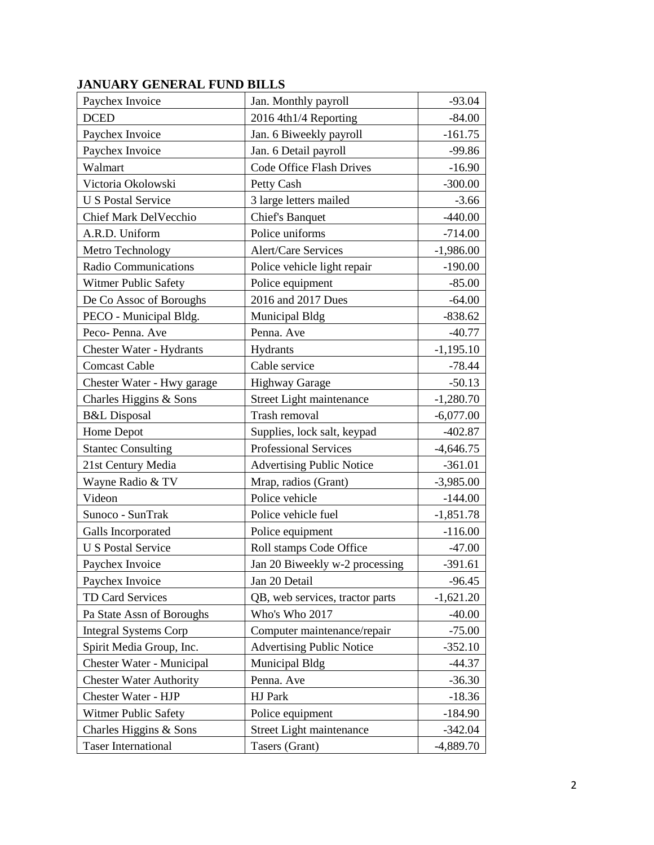| Paychex Invoice                 | Jan. Monthly payroll             | $-93.04$    |
|---------------------------------|----------------------------------|-------------|
| <b>DCED</b>                     | 2016 4th1/4 Reporting            | $-84.00$    |
| Paychex Invoice                 | Jan. 6 Biweekly payroll          | $-161.75$   |
| Paychex Invoice                 | Jan. 6 Detail payroll            | $-99.86$    |
| Walmart                         | <b>Code Office Flash Drives</b>  | $-16.90$    |
| Victoria Okolowski              | Petty Cash                       | $-300.00$   |
| <b>U S Postal Service</b>       | 3 large letters mailed           | $-3.66$     |
| Chief Mark DelVecchio           | <b>Chief's Banquet</b>           | $-440.00$   |
| A.R.D. Uniform                  | Police uniforms                  | $-714.00$   |
| Metro Technology                | <b>Alert/Care Services</b>       | $-1,986.00$ |
| Radio Communications            | Police vehicle light repair      | $-190.00$   |
| Witmer Public Safety            | Police equipment                 | $-85.00$    |
| De Co Assoc of Boroughs         | 2016 and 2017 Dues               | $-64.00$    |
| PECO - Municipal Bldg.          | Municipal Bldg                   | $-838.62$   |
| Peco-Penna. Ave                 | Penna. Ave                       | $-40.77$    |
| <b>Chester Water - Hydrants</b> | Hydrants                         | $-1,195.10$ |
| <b>Comcast Cable</b>            | Cable service                    | $-78.44$    |
| Chester Water - Hwy garage      | <b>Highway Garage</b>            | $-50.13$    |
| Charles Higgins & Sons          | Street Light maintenance         | $-1,280.70$ |
| <b>B&amp;L</b> Disposal         | Trash removal                    | $-6,077.00$ |
| Home Depot                      | Supplies, lock salt, keypad      | $-402.87$   |
| <b>Stantec Consulting</b>       | <b>Professional Services</b>     | $-4,646.75$ |
| 21st Century Media              | <b>Advertising Public Notice</b> | $-361.01$   |
| Wayne Radio & TV                | Mrap, radios (Grant)             | $-3,985.00$ |
| Videon                          | Police vehicle                   | $-144.00$   |
| Sunoco - SunTrak                | Police vehicle fuel              | $-1,851.78$ |
| Galls Incorporated              | Police equipment                 | $-116.00$   |
| <b>U S Postal Service</b>       | Roll stamps Code Office          | $-47.00$    |
| Paychex Invoice                 | Jan 20 Biweekly w-2 processing   | $-391.61$   |
| Paychex Invoice                 | Jan 20 Detail                    | $-96.45$    |
| TD Card Services                | QB, web services, tractor parts  | $-1,621.20$ |
| Pa State Assn of Boroughs       | Who's Who 2017                   | $-40.00$    |
| <b>Integral Systems Corp</b>    | Computer maintenance/repair      | $-75.00$    |
| Spirit Media Group, Inc.        | <b>Advertising Public Notice</b> | $-352.10$   |
| Chester Water - Municipal       | Municipal Bldg                   | $-44.37$    |
| <b>Chester Water Authority</b>  | Penna. Ave                       | $-36.30$    |
| Chester Water - HJP             | HJ Park                          | $-18.36$    |
| Witmer Public Safety            | Police equipment                 | $-184.90$   |
| Charles Higgins & Sons          | Street Light maintenance         | $-342.04$   |
| <b>Taser International</b>      | Tasers (Grant)                   | $-4,889.70$ |

# **JANUARY GENERAL FUND BILLS**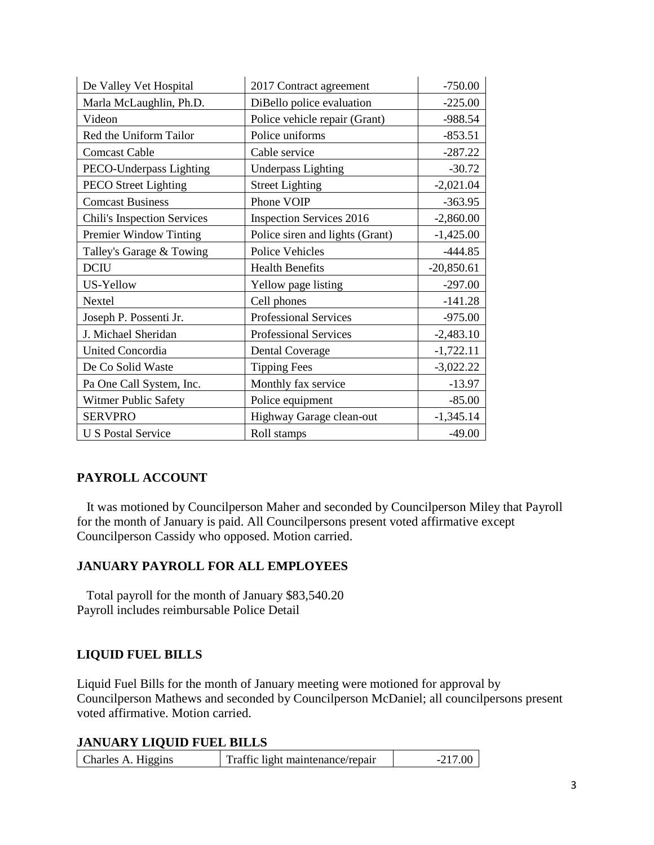| De Valley Vet Hospital      | 2017 Contract agreement         | $-750.00$    |
|-----------------------------|---------------------------------|--------------|
| Marla McLaughlin, Ph.D.     | DiBello police evaluation       | $-225.00$    |
| Videon                      | Police vehicle repair (Grant)   | -988.54      |
| Red the Uniform Tailor      | Police uniforms                 | $-853.51$    |
| <b>Comcast Cable</b>        | Cable service                   | $-287.22$    |
| PECO-Underpass Lighting     | <b>Underpass Lighting</b>       | $-30.72$     |
| PECO Street Lighting        | <b>Street Lighting</b>          | $-2,021.04$  |
| <b>Comcast Business</b>     | Phone VOIP                      | $-363.95$    |
| Chili's Inspection Services | <b>Inspection Services 2016</b> | $-2,860.00$  |
| Premier Window Tinting      | Police siren and lights (Grant) | $-1,425.00$  |
| Talley's Garage & Towing    | <b>Police Vehicles</b>          | $-444.85$    |
| <b>DCIU</b>                 | <b>Health Benefits</b>          | $-20,850.61$ |
| US-Yellow                   | Yellow page listing             | $-297.00$    |
| <b>Nextel</b>               | Cell phones                     | $-141.28$    |
| Joseph P. Possenti Jr.      | Professional Services           | $-975.00$    |
| J. Michael Sheridan         | Professional Services           | $-2,483.10$  |
| <b>United Concordia</b>     | <b>Dental Coverage</b>          | $-1,722.11$  |
| De Co Solid Waste           |                                 |              |
|                             | <b>Tipping Fees</b>             | $-3,022.22$  |
| Pa One Call System, Inc.    | Monthly fax service             | $-13.97$     |
| Witmer Public Safety        | Police equipment                | $-85.00$     |
| <b>SERVPRO</b>              | Highway Garage clean-out        | $-1,345.14$  |

## **PAYROLL ACCOUNT**

 It was motioned by Councilperson Maher and seconded by Councilperson Miley that Payroll for the month of January is paid. All Councilpersons present voted affirmative except Councilperson Cassidy who opposed. Motion carried.

## **JANUARY PAYROLL FOR ALL EMPLOYEES**

 Total payroll for the month of January \$83,540.20 Payroll includes reimbursable Police Detail

## **LIQUID FUEL BILLS**

Liquid Fuel Bills for the month of January meeting were motioned for approval by Councilperson Mathews and seconded by Councilperson McDaniel; all councilpersons present voted affirmative. Motion carried.

## **JANUARY LIQUID FUEL BILLS**

| Charles A. Higgins<br>Traffic light maintenance/repair |
|--------------------------------------------------------|
|--------------------------------------------------------|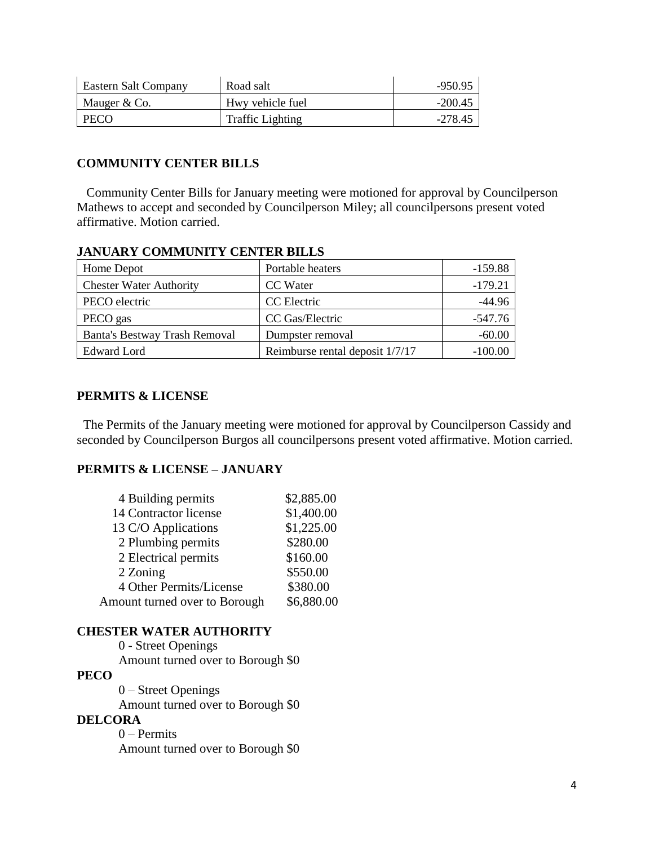| Eastern Salt Company | Road salt               | -950.95   |
|----------------------|-------------------------|-----------|
| Mauger & Co.         | Hwy vehicle fuel        | $-200.45$ |
| PECO                 | <b>Traffic Lighting</b> | $-278.45$ |

## **COMMUNITY CENTER BILLS**

 Community Center Bills for January meeting were motioned for approval by Councilperson Mathews to accept and seconded by Councilperson Miley; all councilpersons present voted affirmative. Motion carried.

| Home Depot                     | Portable heaters                | $-159.88$ |
|--------------------------------|---------------------------------|-----------|
| <b>Chester Water Authority</b> | CC Water                        | $-179.21$ |
| PECO electric                  | CC Electric                     | $-44.96$  |
| PECO gas                       | CC Gas/Electric                 | -547.76   |
| Banta's Bestway Trash Removal  | Dumpster removal                | $-60.00$  |
| Edward Lord                    | Reimburse rental deposit 1/7/17 | $-100.00$ |

### **JANUARY COMMUNITY CENTER BILLS**

## **PERMITS & LICENSE**

The Permits of the January meeting were motioned for approval by Councilperson Cassidy and seconded by Councilperson Burgos all councilpersons present voted affirmative. Motion carried.

### **PERMITS & LICENSE – JANUARY**

| 4 Building permits            | \$2,885.00 |
|-------------------------------|------------|
| 14 Contractor license         | \$1,400.00 |
| 13 C/O Applications           | \$1,225.00 |
| 2 Plumbing permits            | \$280.00   |
| 2 Electrical permits          | \$160.00   |
| 2 Zoning                      | \$550.00   |
| 4 Other Permits/License       | \$380.00   |
| Amount turned over to Borough | \$6,880.00 |

### **CHESTER WATER AUTHORITY**

0 - Street Openings Amount turned over to Borough \$0 **PECO** 0 – Street Openings Amount turned over to Borough \$0 **DELCORA** 0 – Permits Amount turned over to Borough \$0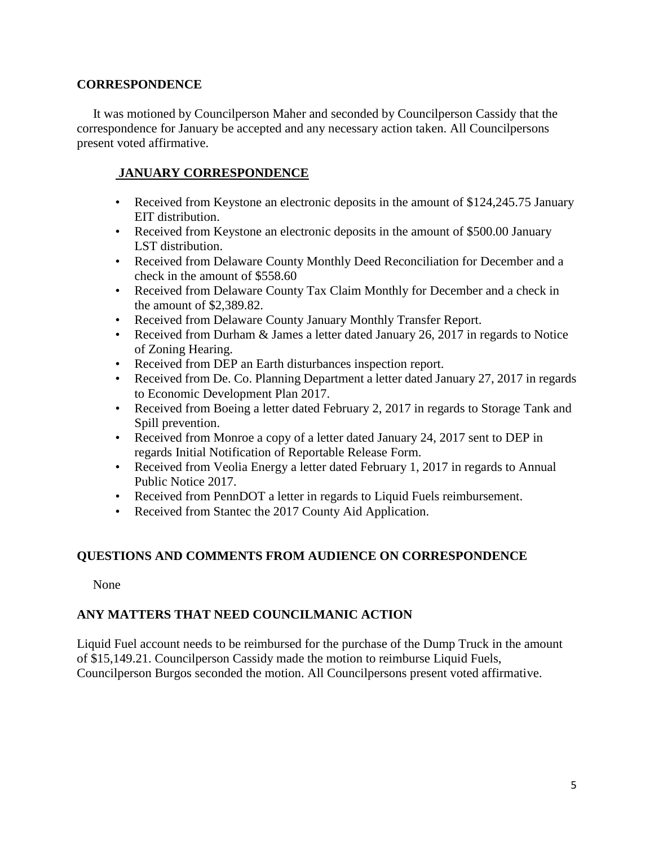## **CORRESPONDENCE**

 It was motioned by Councilperson Maher and seconded by Councilperson Cassidy that the correspondence for January be accepted and any necessary action taken. All Councilpersons present voted affirmative.

## **JANUARY CORRESPONDENCE**

- Received from Keystone an electronic deposits in the amount of \$124,245.75 January EIT distribution.
- Received from Keystone an electronic deposits in the amount of \$500.00 January LST distribution.
- Received from Delaware County Monthly Deed Reconciliation for December and a check in the amount of \$558.60
- Received from Delaware County Tax Claim Monthly for December and a check in the amount of \$2,389.82.
- Received from Delaware County January Monthly Transfer Report.
- Received from Durham & James a letter dated January 26, 2017 in regards to Notice of Zoning Hearing.
- Received from DEP an Earth disturbances inspection report.
- Received from De. Co. Planning Department a letter dated January 27, 2017 in regards to Economic Development Plan 2017.
- Received from Boeing a letter dated February 2, 2017 in regards to Storage Tank and Spill prevention.
- Received from Monroe a copy of a letter dated January 24, 2017 sent to DEP in regards Initial Notification of Reportable Release Form.
- Received from Veolia Energy a letter dated February 1, 2017 in regards to Annual Public Notice 2017.
- Received from PennDOT a letter in regards to Liquid Fuels reimbursement.
- Received from Stantec the 2017 County Aid Application.

# **QUESTIONS AND COMMENTS FROM AUDIENCE ON CORRESPONDENCE**

None

# **ANY MATTERS THAT NEED COUNCILMANIC ACTION**

Liquid Fuel account needs to be reimbursed for the purchase of the Dump Truck in the amount of \$15,149.21. Councilperson Cassidy made the motion to reimburse Liquid Fuels, Councilperson Burgos seconded the motion. All Councilpersons present voted affirmative.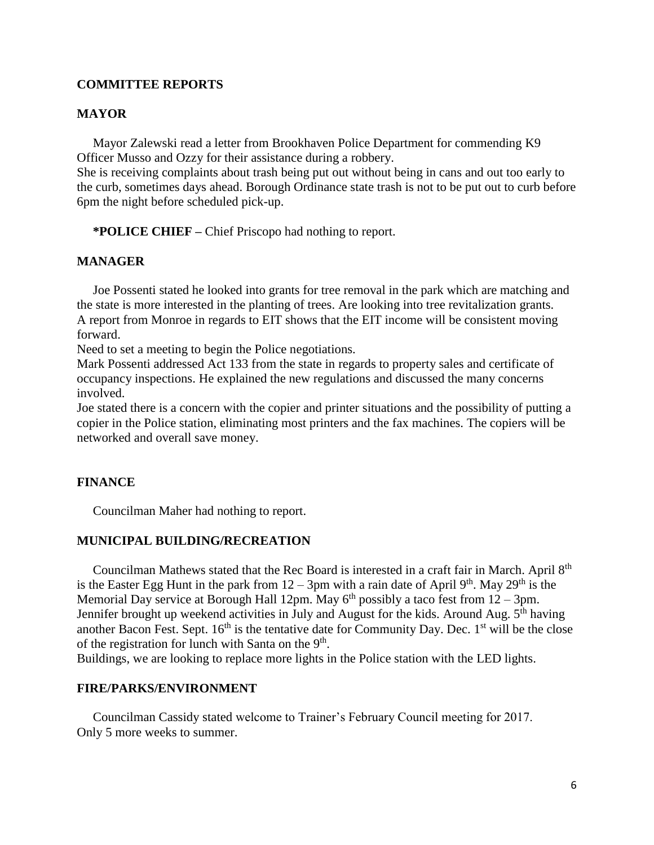### **COMMITTEE REPORTS**

#### **MAYOR**

Mayor Zalewski read a letter from Brookhaven Police Department for commending K9 Officer Musso and Ozzy for their assistance during a robbery.

She is receiving complaints about trash being put out without being in cans and out too early to the curb, sometimes days ahead. Borough Ordinance state trash is not to be put out to curb before 6pm the night before scheduled pick-up.

 **\*POLICE CHIEF –** Chief Priscopo had nothing to report.

### **MANAGER**

 Joe Possenti stated he looked into grants for tree removal in the park which are matching and the state is more interested in the planting of trees. Are looking into tree revitalization grants. A report from Monroe in regards to EIT shows that the EIT income will be consistent moving forward.

Need to set a meeting to begin the Police negotiations.

Mark Possenti addressed Act 133 from the state in regards to property sales and certificate of occupancy inspections. He explained the new regulations and discussed the many concerns involved.

Joe stated there is a concern with the copier and printer situations and the possibility of putting a copier in the Police station, eliminating most printers and the fax machines. The copiers will be networked and overall save money.

#### **FINANCE**

Councilman Maher had nothing to report.

#### **MUNICIPAL BUILDING/RECREATION**

Councilman Mathews stated that the Rec Board is interested in a craft fair in March. April 8<sup>th</sup> is the Easter Egg Hunt in the park from  $12 - 3$ pm with a rain date of April 9<sup>th</sup>. May 29<sup>th</sup> is the Memorial Day service at Borough Hall 12pm. May  $6<sup>th</sup>$  possibly a taco fest from  $12 - 3$ pm. Jennifer brought up weekend activities in July and August for the kids. Around Aug.  $5^{\text{th}}$  having another Bacon Fest. Sept.  $16<sup>th</sup>$  is the tentative date for Community Day. Dec.  $1<sup>st</sup>$  will be the close of the registration for lunch with Santa on the  $9<sup>th</sup>$ .

Buildings, we are looking to replace more lights in the Police station with the LED lights.

### **FIRE/PARKS/ENVIRONMENT**

 Councilman Cassidy stated welcome to Trainer's February Council meeting for 2017. Only 5 more weeks to summer.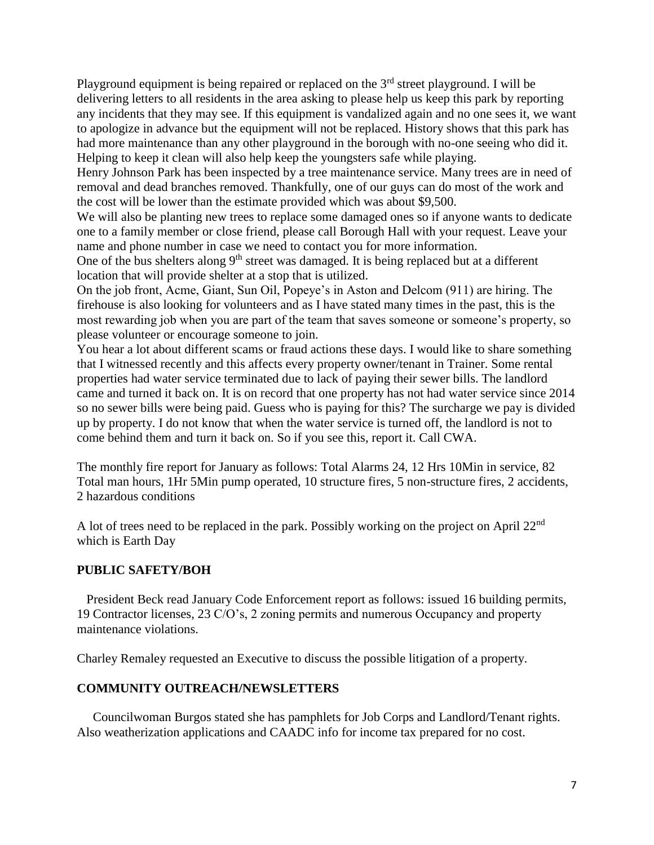Playground equipment is being repaired or replaced on the  $3<sup>rd</sup>$  street playground. I will be delivering letters to all residents in the area asking to please help us keep this park by reporting any incidents that they may see. If this equipment is vandalized again and no one sees it, we want to apologize in advance but the equipment will not be replaced. History shows that this park has had more maintenance than any other playground in the borough with no-one seeing who did it. Helping to keep it clean will also help keep the youngsters safe while playing.

Henry Johnson Park has been inspected by a tree maintenance service. Many trees are in need of removal and dead branches removed. Thankfully, one of our guys can do most of the work and the cost will be lower than the estimate provided which was about \$9,500.

We will also be planting new trees to replace some damaged ones so if anyone wants to dedicate one to a family member or close friend, please call Borough Hall with your request. Leave your name and phone number in case we need to contact you for more information.

One of the bus shelters along 9<sup>th</sup> street was damaged. It is being replaced but at a different location that will provide shelter at a stop that is utilized.

On the job front, Acme, Giant, Sun Oil, Popeye's in Aston and Delcom (911) are hiring. The firehouse is also looking for volunteers and as I have stated many times in the past, this is the most rewarding job when you are part of the team that saves someone or someone's property, so please volunteer or encourage someone to join.

You hear a lot about different scams or fraud actions these days. I would like to share something that I witnessed recently and this affects every property owner/tenant in Trainer. Some rental properties had water service terminated due to lack of paying their sewer bills. The landlord came and turned it back on. It is on record that one property has not had water service since 2014 so no sewer bills were being paid. Guess who is paying for this? The surcharge we pay is divided up by property. I do not know that when the water service is turned off, the landlord is not to come behind them and turn it back on. So if you see this, report it. Call CWA.

The monthly fire report for January as follows: Total Alarms 24, 12 Hrs 10Min in service, 82 Total man hours, 1Hr 5Min pump operated, 10 structure fires, 5 non-structure fires, 2 accidents, 2 hazardous conditions

A lot of trees need to be replaced in the park. Possibly working on the project on April 22<sup>nd</sup> which is Earth Day

### **PUBLIC SAFETY/BOH**

 President Beck read January Code Enforcement report as follows: issued 16 building permits, 19 Contractor licenses, 23 C/O's, 2 zoning permits and numerous Occupancy and property maintenance violations.

Charley Remaley requested an Executive to discuss the possible litigation of a property.

### **COMMUNITY OUTREACH/NEWSLETTERS**

 Councilwoman Burgos stated she has pamphlets for Job Corps and Landlord/Tenant rights. Also weatherization applications and CAADC info for income tax prepared for no cost.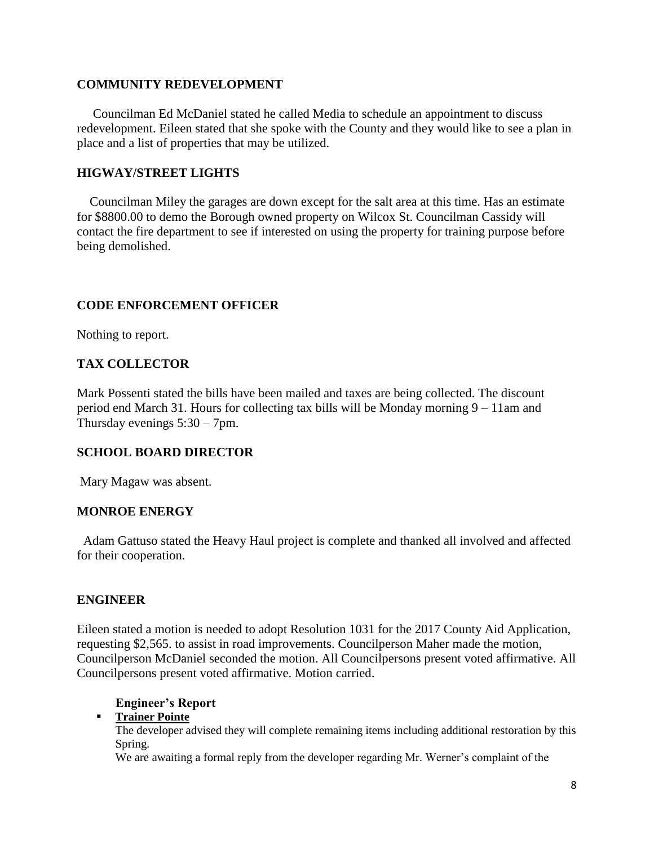## **COMMUNITY REDEVELOPMENT**

Councilman Ed McDaniel stated he called Media to schedule an appointment to discuss redevelopment. Eileen stated that she spoke with the County and they would like to see a plan in place and a list of properties that may be utilized.

## **HIGWAY/STREET LIGHTS**

 Councilman Miley the garages are down except for the salt area at this time. Has an estimate for \$8800.00 to demo the Borough owned property on Wilcox St. Councilman Cassidy will contact the fire department to see if interested on using the property for training purpose before being demolished.

## **CODE ENFORCEMENT OFFICER**

Nothing to report.

## **TAX COLLECTOR**

Mark Possenti stated the bills have been mailed and taxes are being collected. The discount period end March 31. Hours for collecting tax bills will be Monday morning 9 – 11am and Thursday evenings 5:30 – 7pm.

## **SCHOOL BOARD DIRECTOR**

Mary Magaw was absent.

### **MONROE ENERGY**

 Adam Gattuso stated the Heavy Haul project is complete and thanked all involved and affected for their cooperation.

### **ENGINEER**

Eileen stated a motion is needed to adopt Resolution 1031 for the 2017 County Aid Application, requesting \$2,565. to assist in road improvements. Councilperson Maher made the motion, Councilperson McDaniel seconded the motion. All Councilpersons present voted affirmative. All Councilpersons present voted affirmative. Motion carried.

### **Engineer's Report**

## **Trainer Pointe**

The developer advised they will complete remaining items including additional restoration by this Spring.

We are awaiting a formal reply from the developer regarding Mr. Werner's complaint of the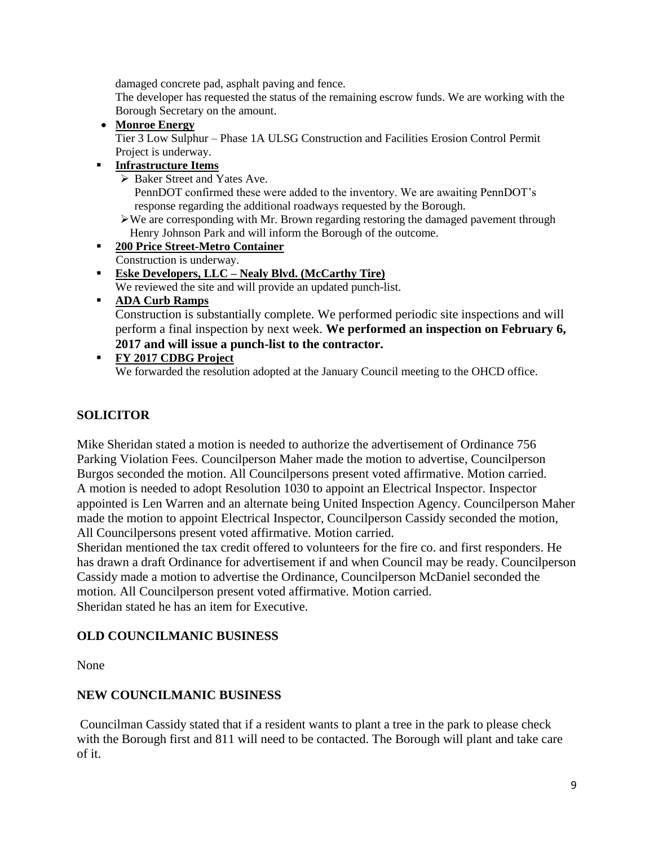damaged concrete pad, asphalt paving and fence.

The developer has requested the status of the remaining escrow funds. We are working with the Borough Secretary on the amount.

**Monroe Energy**

Tier 3 Low Sulphur – Phase 1A ULSG Construction and Facilities Erosion Control Permit Project is underway.

- **Infrastructure Items**
	- ▶ Baker Street and Yates Ave.

PennDOT confirmed these were added to the inventory. We are awaiting PennDOT's response regarding the additional roadways requested by the Borough.

- $\triangleright$  We are corresponding with Mr. Brown regarding restoring the damaged pavement through Henry Johnson Park and will inform the Borough of the outcome.
- **200 Price Street-Metro Container** Construction is underway.
- **Eske Developers, LLC – Nealy Blvd. (McCarthy Tire)** We reviewed the site and will provide an updated punch-list.
- **ADA Curb Ramps**

Construction is substantially complete. We performed periodic site inspections and will perform a final inspection by next week. **We performed an inspection on February 6, 2017 and will issue a punch-list to the contractor.**

### **FY 2017 CDBG Project** We forwarded the resolution adopted at the January Council meeting to the OHCD office.

# **SOLICITOR**

Mike Sheridan stated a motion is needed to authorize the advertisement of Ordinance 756 Parking Violation Fees. Councilperson Maher made the motion to advertise, Councilperson Burgos seconded the motion. All Councilpersons present voted affirmative. Motion carried. A motion is needed to adopt Resolution 1030 to appoint an Electrical Inspector. Inspector appointed is Len Warren and an alternate being United Inspection Agency. Councilperson Maher made the motion to appoint Electrical Inspector, Councilperson Cassidy seconded the motion, All Councilpersons present voted affirmative. Motion carried.

Sheridan mentioned the tax credit offered to volunteers for the fire co. and first responders. He has drawn a draft Ordinance for advertisement if and when Council may be ready. Councilperson Cassidy made a motion to advertise the Ordinance, Councilperson McDaniel seconded the motion. All Councilperson present voted affirmative. Motion carried. Sheridan stated he has an item for Executive.

## **OLD COUNCILMANIC BUSINESS**

None

## **NEW COUNCILMANIC BUSINESS**

Councilman Cassidy stated that if a resident wants to plant a tree in the park to please check with the Borough first and 811 will need to be contacted. The Borough will plant and take care of it.